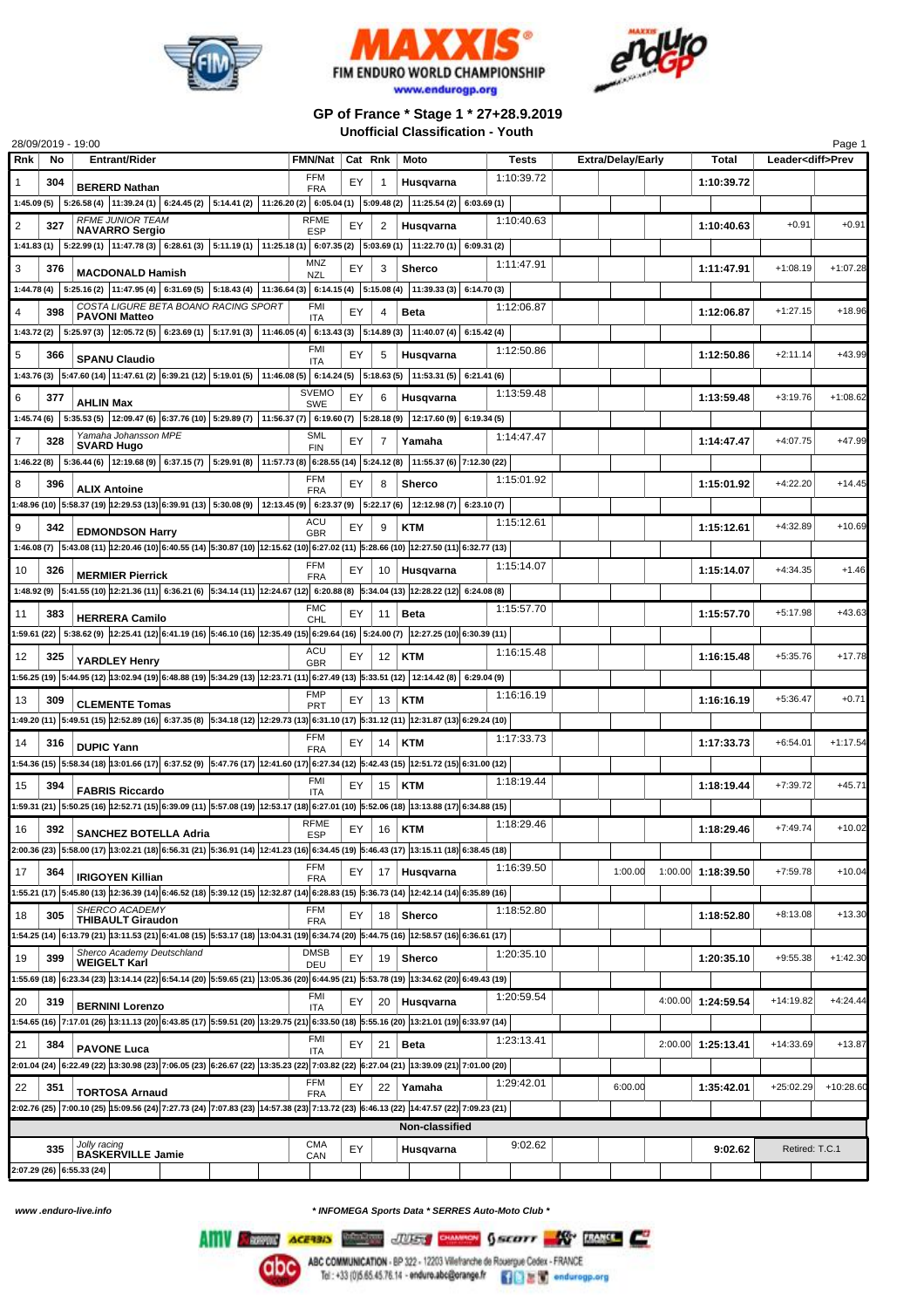





## **GP of France \* Stage 1 \* 27+28.9.2019 Unofficial Classification - Youth**

|                                                                                                                                                       | 28/09/2019 - 19:00 |                                                                                                                                                                      |                           |         |                |               |  |            |  |                          |  |                    |                          | Page 1      |
|-------------------------------------------------------------------------------------------------------------------------------------------------------|--------------------|----------------------------------------------------------------------------------------------------------------------------------------------------------------------|---------------------------|---------|----------------|---------------|--|------------|--|--------------------------|--|--------------------|--------------------------|-------------|
| Rnk                                                                                                                                                   | No                 | <b>Entrant/Rider</b>                                                                                                                                                 | <b>FMN/Nat</b>            | Cat Rnk |                | Moto          |  | Tests      |  | <b>Extra/Delay/Early</b> |  | Total              | Leader <diff>Prev</diff> |             |
| 1                                                                                                                                                     | 304                | <b>BERERD Nathan</b>                                                                                                                                                 | FFM<br><b>FRA</b>         | EY      | $\mathbf{1}$   | Husqvarna     |  | 1:10:39.72 |  |                          |  | 1:10:39.72         |                          |             |
| 1:45.09 (5)                                                                                                                                           |                    | 5:26.58 (4) $ 11:39.24(1) $ 6:24.45 (2) $ 5:14.41(2) $ 11:26.20 (2) 6:05.04 (1) 5:09.48 (2) 11:25.54 (2) 6:03.69 (1)                                                 |                           |         |                |               |  |            |  |                          |  |                    |                          |             |
| $\overline{2}$                                                                                                                                        | 327                | <b>RFME JUNIOR TEAM</b><br><b>NAVARRO Sergio</b>                                                                                                                     | <b>RFME</b><br><b>ESP</b> | EY      | 2              | Husqvarna     |  | 1:10:40.63 |  |                          |  | 1:10:40.63         | $+0.91$                  | $+0.91$     |
| 1:41.83(1)                                                                                                                                            |                    | 5:22.99 (1) $ 11:47.78$ (3) $ 6:28.61$ (3) $ 5:11.19$ (1) $ 11:25.18$ (1) $ 6:07.35$ (2) $ 5:03.69$ (1) $ 11:22.70$ (1) $ 6:09.31$ (2)                               |                           |         |                |               |  |            |  |                          |  |                    |                          |             |
| 3                                                                                                                                                     | 376                |                                                                                                                                                                      | <b>MNZ</b>                | EY      | 3              | <b>Sherco</b> |  | 1:11:47.91 |  |                          |  | 1:11:47.91         | $+1:08.19$               | $+1:07.28$  |
| 1:44.78(4)                                                                                                                                            |                    | <b>MACDONALD Hamish</b><br>5:25.16 (2) $ 11:47.95(4) $ 6:31.69 (5) $ 5:18.43(4) $ 11:36.64 (3) 6:14.15 (4) 5:15.08 (4) 11:39.33 (3) 6:14.70 (3)                      | <b>NZL</b>                |         |                |               |  |            |  |                          |  |                    |                          |             |
|                                                                                                                                                       |                    | COSTA LIGURE BETA BOANO RACING SPORT                                                                                                                                 | <b>FMI</b>                |         |                |               |  | 1:12:06.87 |  |                          |  |                    |                          |             |
| 4                                                                                                                                                     | 398                | <b>PAVONI Matteo</b>                                                                                                                                                 | ITA                       | EY      | 4              | <b>Beta</b>   |  |            |  |                          |  | 1:12:06.87         | $+1:27.15$               | $+18.96$    |
|                                                                                                                                                       |                    | 1:43.72 (2) 5:25.97 (3) 12:05.72 (5) 6:23.69 (1) 5:17.91 (3) 11:46.05 (4) 6:13.43 (3) 5:14.89 (3) 11:40.07 (4) 6:15.42 (4)                                           |                           |         |                |               |  |            |  |                          |  |                    |                          |             |
| 5                                                                                                                                                     | 366                | <b>SPANU Claudio</b>                                                                                                                                                 | <b>FMI</b><br><b>ITA</b>  | EY      | 5              | Husqvarna     |  | 1:12:50.86 |  |                          |  | 1:12:50.86         | $+2:11.14$               | $+43.99$    |
|                                                                                                                                                       |                    | 1:43.76 (3) 5:47.60 (14) 11:47.61 (2) 6:39.21 (12) 5:19.01 (5) 11:46.08 (5) 6:14.24 (5) 5:18.63 (5) 11:53.31 (5) 6:21.41 (6)                                         |                           |         |                |               |  |            |  |                          |  |                    |                          |             |
| 6                                                                                                                                                     | 377                | <b>AHLIN Max</b>                                                                                                                                                     | <b>SVEMO</b>              | EY      | 6              | Husqvarna     |  | 1:13:59.48 |  |                          |  | 1:13:59.48         | $+3:19.76$               | $+1:08.62$  |
| 1:45.74(6)                                                                                                                                            |                    | 5:35.53 (5) $ 12:09.47$ (6) $ 6:37.76$ (10) $ 5:29.89$ (7) $ 11:56.37$ (7) $ 6:19.60$ (7) $ 5:28.18$ (9) $ 12:17.60$ (9) $ 6:19.34$ (5)                              | <b>SWE</b>                |         |                |               |  |            |  |                          |  |                    |                          |             |
|                                                                                                                                                       |                    | Yamaha Johansson MPE                                                                                                                                                 | SML                       |         |                |               |  | 1:14:47.47 |  |                          |  |                    |                          | $+47.99$    |
| 7                                                                                                                                                     | 328                | <b>SVARD Hugo</b>                                                                                                                                                    | <b>FIN</b>                | EY      | $\overline{7}$ | Yamaha        |  |            |  |                          |  | 1:14:47.47         | $+4:07.75$               |             |
| 1:46.22(8)                                                                                                                                            |                    | 5:36.44 (6) 12:19.68 (9) 6:37.15 (7) 5:29.91 (8) 11:57.73 (8) 6:28.55 (14) 5:24.12 (8) 11:55.37 (6) 7:12.30 (22)                                                     |                           |         |                |               |  |            |  |                          |  |                    |                          |             |
| 8                                                                                                                                                     | 396                | <b>ALIX Antoine</b>                                                                                                                                                  | <b>FFM</b><br><b>FRA</b>  | EY      | 8              | Sherco        |  | 1:15:01.92 |  |                          |  | 1:15:01.92         | $+4:22.20$               | $+14.45$    |
|                                                                                                                                                       |                    | 1:48.96 (10)  5:58.37 (19)  12:29.53 (13) 6:39.91 (13)   5:30.08 (9)   12:13.45 (9)   6:23.37 (9)   5:22.17 (6)   12:12.98 (7)   6:23.10 (7)                         |                           |         |                |               |  |            |  |                          |  |                    |                          |             |
| 9                                                                                                                                                     | 342                | <b>EDMONDSON Harry</b>                                                                                                                                               | ACU                       | EY      | 9              | <b>KTM</b>    |  | 1:15:12.61 |  |                          |  | 1:15:12.61         | $+4:32.89$               | $+10.69$    |
|                                                                                                                                                       |                    | 1:46.08 (7) 5:43.08 (11) 12:20.46 (10) 6:40.55 (14) 5:30.87 (10) 12:15.62 (10) 6:27.02 (11) 5:28.66 (10) 12:27.50 (11) 6:32.77 (13)                                  | <b>GBR</b>                |         |                |               |  |            |  |                          |  |                    |                          |             |
|                                                                                                                                                       |                    |                                                                                                                                                                      | <b>FFM</b>                |         |                |               |  | 1:15:14.07 |  |                          |  | 1:15:14.07         |                          | $+1.46$     |
| 10                                                                                                                                                    | 326                | <b>MERMIER Pierrick</b>                                                                                                                                              | <b>FRA</b>                | EY      | 10             | Husqvarna     |  |            |  |                          |  |                    | $+4:34.35$               |             |
|                                                                                                                                                       |                    | 1:48.92 (9) 5:41.55 (10) 12:21.36 (11) 6:36.21 (6) 5:34.14 (11) 12:24.67 (12) 6:20.88 (8) 5:34.04 (13) 12:28.22 (12) 6:24.08 (8)                                     |                           |         |                |               |  |            |  |                          |  |                    |                          |             |
| 11                                                                                                                                                    | 383                | <b>HERRERA Camilo</b>                                                                                                                                                | <b>FMC</b><br>CHL         | EY      | 11             | <b>Beta</b>   |  | 1:15:57.70 |  |                          |  | 1:15:57.70         | $+5:17.98$               | $+43.63$    |
|                                                                                                                                                       |                    | 1:59.61 (22) 5:38.62 (9) 12:25.41 (12) 6:41.19 (16) 5:46.10 (16) 12:35.49 (15) 6:29.64 (16) 5:24.00 (7) 12:27.25 (10) 6:30.39 (11)                                   |                           |         |                |               |  |            |  |                          |  |                    |                          |             |
| 12                                                                                                                                                    | 325                | <b>YARDLEY Henry</b>                                                                                                                                                 | ACU<br><b>GBR</b>         | EY      | 12             | <b>KTM</b>    |  | 1:16:15.48 |  |                          |  | 1:16:15.48         | $+5:35.76$               | $+17.78$    |
|                                                                                                                                                       |                    | 1:56.25 (19) 5:44.95 (12) 13:02.94 (19) 6:48.88 (19) 5:34.29 (13) $ 12:23.71$ (11) 6:27.49 (13) 5:33.51 (12) $ 12:14.42$ (8) $ $ 6:29.04 (9)                         |                           |         |                |               |  |            |  |                          |  |                    |                          |             |
|                                                                                                                                                       | 309                |                                                                                                                                                                      | <b>FMP</b>                | EY      | 13             | <b>KTM</b>    |  | 1:16:16.19 |  |                          |  | 1:16:16.19         | $+5:36.47$               | $+0.71$     |
| 13                                                                                                                                                    |                    | <b>CLEMENTE Tomas</b>                                                                                                                                                | PRT                       |         |                |               |  |            |  |                          |  |                    |                          |             |
|                                                                                                                                                       |                    | (10) 6:29.24 (11) 5:49.51 (15) 5:49.51 (15) 12:52.89 (16) 6:37.35 (8) 5:34.18 (12) 5:31.37 (13) 6:31.10 (17) 5:31.12 (11) 12:31.87 (13) 6:29.24 (10)                 | <b>FFM</b>                |         |                |               |  |            |  |                          |  |                    |                          |             |
| 14                                                                                                                                                    | 316                | <b>DUPIC Yann</b>                                                                                                                                                    | <b>FRA</b>                | EY      | 14             | <b>KTM</b>    |  | 1:17:33.73 |  |                          |  | 1:17:33.73         | $+6:54.01$               | $+1:17.54$  |
|                                                                                                                                                       |                    | 1:54.36 (15) 5:58.34 (18) 3:01.66 (17) 6:37.52 (9) 5:47.76 (17) 12:41.60 (17) 6:27.34 (12) 5:42.43 (15) 12:51.72 (15) 6:31.00 (12)                                   |                           |         |                |               |  |            |  |                          |  |                    |                          |             |
| 15                                                                                                                                                    | 394                | <b>FABRIS Riccardo</b>                                                                                                                                               | FMI<br><b>ITA</b>         | EY      | 15             | <b>KTM</b>    |  | 1:18:19.44 |  |                          |  | 1:18:19.44         | $+7:39.72$               | $+45.71$    |
|                                                                                                                                                       |                    | (15) 6:34.88 (17) 5:50.25 (16) 5:52.71 (15) 6:39.09 (11) 5:57.08 (19) 12:53.17 (18) 6:27.01 (10) 5:52.06 (18) 13:13.88 (17) 6:34.88 (15)                             |                           |         |                |               |  |            |  |                          |  |                    |                          |             |
| 16                                                                                                                                                    | 392                |                                                                                                                                                                      | <b>RFME</b>               | EY      | 16             | KTM           |  | 1:18:29.46 |  |                          |  | 1:18:29.46         | $+7:49.74$               | $+10.02$    |
|                                                                                                                                                       |                    | <b>SANCHEZ BOTELLA Adria</b><br>2:00.36 (23) 5:58.00 (17) 13:02.21 (18) 6:56.31 (21) 5:36.91 (14) 12:41.23 (16) 6:34.45 (19) 5:46.43 (17) 13:15.11 (18) 6:38.45 (18) | <b>ESP</b>                |         |                |               |  |            |  |                          |  |                    |                          |             |
|                                                                                                                                                       |                    |                                                                                                                                                                      | FFM                       |         |                |               |  | 1:16:39.50 |  |                          |  |                    |                          |             |
| 17                                                                                                                                                    | 364                | <b>IRIGOYEN Killian</b>                                                                                                                                              | <b>FRA</b>                | EY      | 17             | Husqvarna     |  |            |  | 1:00.00                  |  | 1:00.00 1:18:39.50 | $+7:59.78$               | $+10.04$    |
|                                                                                                                                                       |                    | (16) 6:35.21 (17) 5:45.80 (13) 12:36.39 (14) 6:46.52 (18) 5:39.12 (15) 12:32.87 (14) 6:28.83 (15) 5:36.73 (14) 12:42.14 (14) 6:35.89 (16)                            |                           |         |                |               |  |            |  |                          |  |                    |                          |             |
| 18                                                                                                                                                    | 305                | SHERCO ACADEMY<br><b>THIBAULT Giraudon</b>                                                                                                                           | <b>FFM</b><br><b>FRA</b>  | EY      | 18             | <b>Sherco</b> |  | 1:18:52.80 |  |                          |  | 1:18:52.80         | $+8:13.08$               | $+13.30$    |
|                                                                                                                                                       |                    | 1:54.25 (14) 6:13.79 (21) 13:11.53 (21) 6:41.08 (15) 5:53.17 (18) 13:04.31 (19) 6:34.74 (20) 5:44.75 (16) 12:58.57 (16) 6:36.61 (17)                                 |                           |         |                |               |  |            |  |                          |  |                    |                          |             |
| 19                                                                                                                                                    | 399                | Sherco Academy Deutschland                                                                                                                                           | <b>DMSB</b>               | EY      | 19             | <b>Sherco</b> |  | 1:20:35.10 |  |                          |  | 1:20:35.10         | $+9:55.38$               | $+1:42.30$  |
|                                                                                                                                                       |                    | <b>WEIGELT Karl</b><br>1:55.69 (18) 6:23.34 (23) 13:14.14 (22) 6:54.14 (20) 5:59.65 (21) 13:05.36 (20) 6:44.95 (21) 5:53.78 (19) 13:34.62 (20) 6:49.43 (19)          | DEU                       |         |                |               |  |            |  |                          |  |                    |                          |             |
|                                                                                                                                                       |                    |                                                                                                                                                                      | <b>FMI</b>                |         |                |               |  | 1:20:59.54 |  |                          |  |                    |                          |             |
| 20                                                                                                                                                    | 319                | <b>BERNINI Lorenzo</b>                                                                                                                                               | <b>ITA</b>                | EY      | 20             | Husqvarna     |  |            |  |                          |  | 4:00.00 1:24:59.54 | +14:19.82                | $+4:24.44$  |
|                                                                                                                                                       |                    | 1:54.65 (16) 7:17.01 (26) 13:11.13 (20) 6:43.85 (17) 5:59.51 (20) 13:29.75 (21) 6:33.50 (18) 5:55.16 (20) 13:21.01 (19) 6:33.97 (14)                                 |                           |         |                |               |  |            |  |                          |  |                    |                          |             |
| 21                                                                                                                                                    | 384                | <b>PAVONE Luca</b>                                                                                                                                                   | <b>FMI</b><br><b>ITA</b>  | EY      | 21             | <b>Beta</b>   |  | 1:23:13.41 |  |                          |  | 2:00.00 1:25:13.41 | $+14:33.69$              | $+13.87$    |
|                                                                                                                                                       |                    | 2:01.04 (24) 6:22.49 (22) 13:30.98 (23) 7:06.05 (23) 6:26.67 (22) 13:35.23 (22) 7:03.82 (22) 6:27.04 (21) 13:39.09 (21) 7:01.00 (20)                                 |                           |         |                |               |  |            |  |                          |  |                    |                          |             |
| 22                                                                                                                                                    | 351                |                                                                                                                                                                      | <b>FFM</b>                | EY      | 22             | Yamaha        |  | 1:29:42.01 |  | 6:00.00                  |  | 1:35:42.01         | $+25:02.29$              | $+10:28.60$ |
|                                                                                                                                                       |                    | <b>TORTOSA Arnaud</b>                                                                                                                                                | <b>FRA</b>                |         |                |               |  |            |  |                          |  |                    |                          |             |
| 2:02.76 (25) 7:00.10 (25) 5:09.56 (24) 7:27.73 (24) 7:07.83 (23) 14:57.38 (23) 7:13.72 (23) 6:46.13 (22) 14:47.57 (22) 7:09.23 (21)<br>Non-classified |                    |                                                                                                                                                                      |                           |         |                |               |  |            |  |                          |  |                    |                          |             |
|                                                                                                                                                       |                    |                                                                                                                                                                      | <b>CMA</b>                |         |                |               |  | 9:02.62    |  |                          |  |                    |                          |             |
|                                                                                                                                                       | 335                | Jolly racing<br>BASKERVILLE Jamie                                                                                                                                    | CAN                       | EY      |                | Husqvarna     |  |            |  |                          |  | 9:02.62            | Retired: T.C.1           |             |
|                                                                                                                                                       |                    | 2:07.29 (26) 6:55.33 (24)                                                                                                                                            |                           |         |                |               |  |            |  |                          |  |                    |                          |             |

*www .enduro-live.info \* INFOMEGA Sports Data \* SERRES Auto-Moto Club \**

Alliv Change Access Manager JUSS CHANGE GALLERY AND RANGE CO

**abc** 

ABC COMMUNICATION - BP 322 - 12203 Villefranche de Rouergue Cedex - FRANCE<br>Tel : +33 (0)5.65.45.76.14 - enduro.abc@orange.fr  $\Box$   $\Box$   $\Box$   $\Box$  ondurregp.org